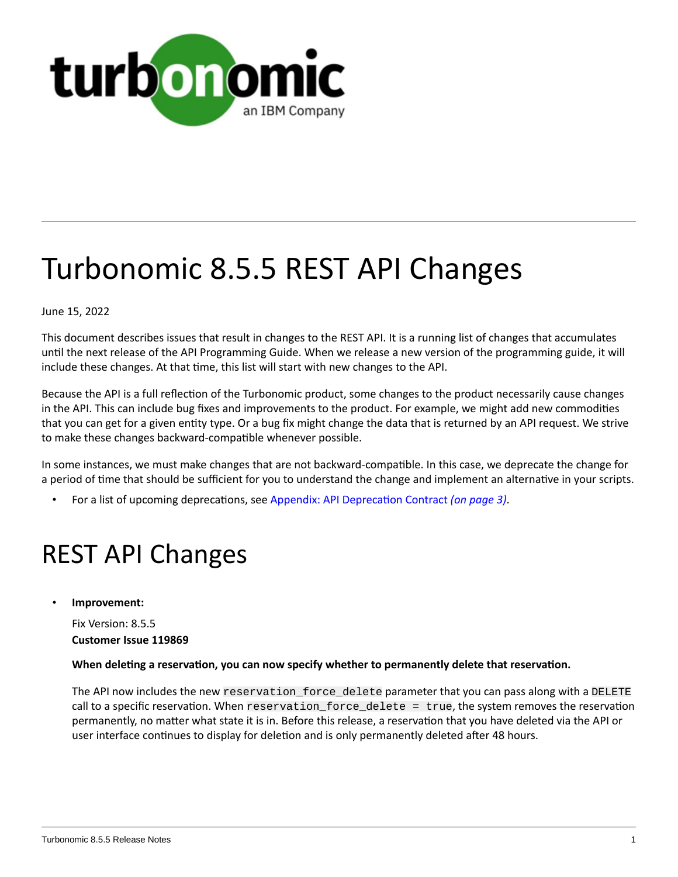

# Turbonomic 8.5.5 REST API Changes

June 15, 2022

This document describes issues that result in changes to the REST API. It is a running list of changes that accumulates until the next release of the API Programming Guide. When we release a new version of the programming guide, it will include these changes. At that time, this list will start with new changes to the API.

Because the API is a full reflection of the Turbonomic product, some changes to the product necessarily cause changes in the API. This can include bug fixes and improvements to the product. For example, we might add new commodities that you can get for a given entity type. Or a bug fix might change the data that is returned by an API request. We strive to make these changes backward-compatible whenever possible.

In some instances, we must make changes that are not backward-compatible. In this case, we deprecate the change for a period of time that should be sufficient for you to understand the change and implement an alternative in your scripts.

• For a list of upcoming deprecations, see Appendix: API [Deprecation](#page-2-0) Contract *[\(on page 3\)](#page-2-0)*.

# REST API Changes

• **Improvement:**

Fix Version: 8.5.5 **Customer Issue 119869**

#### **When deleting a reservation, you can now specify whether to permanently delete that reservation.**

The API now includes the new reservation\_force\_delete parameter that you can pass along with a DELETE call to a specific reservation. When reservation\_force\_delete = true, the system removes the reservation permanently, no matter what state it is in. Before this release, a reservation that you have deleted via the API or user interface continues to display for deletion and is only permanently deleted after 48 hours.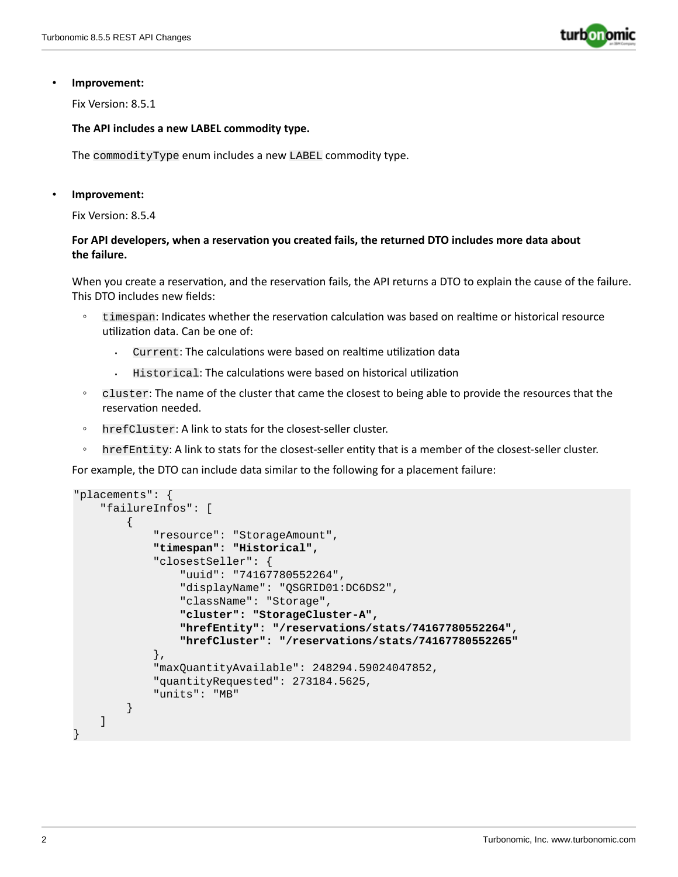

#### • **Improvement:**

Fix Version: 8.5.1

#### **The API includes a new LABEL commodity type.**

The commodityType enum includes a new LABEL commodity type.

#### • **Improvement:**

Fix Version: 8.5.4

#### **For API developers, when a reservation you created fails, the returned DTO includes more data about the failure.**

When you create a reservation, and the reservation fails, the API returns a DTO to explain the cause of the failure. This DTO includes new fields:

- timespan: Indicates whether the reservation calculation was based on realtime or historical resource utilization data. Can be one of:
	- Current: The calculations were based on realtime utilization data
	- Historical: The calculations were based on historical utilization
- cluster: The name of the cluster that came the closest to being able to provide the resources that the reservation needed.
- hrefCluster: A link to stats for the closest-seller cluster.
- hrefEntity: A link to stats for the closest-seller entity that is a member of the closest-seller cluster.

For example, the DTO can include data similar to the following for a placement failure:

```
"placements": {
     "failureInfos": [
         {
             "resource": "StorageAmount",
             "timespan": "Historical",
             "closestSeller": {
                  "uuid": "74167780552264",
                  "displayName": "QSGRID01:DC6DS2",
                  "className": "Storage",
                  "cluster": "StorageCluster-A",
                  "hrefEntity": "/reservations/stats/74167780552264",
                  "hrefCluster": "/reservations/stats/74167780552265"
             },
             "maxQuantityAvailable": 248294.59024047852,
             "quantityRequested": 273184.5625,
             "units": "MB"
         }
     ]
}
```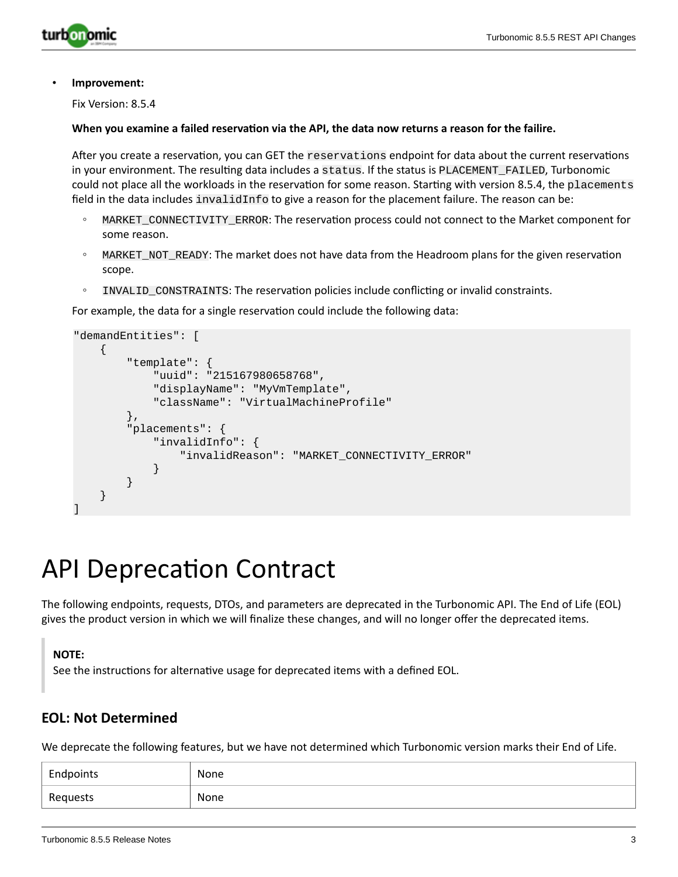

#### • **Improvement:**

Fix Version: 8.5.4

#### **When you examine a failed reservation via the API, the data now returns a reason for the failire.**

After you create a reservation, you can GET the reservations endpoint for data about the current reservations in your environment. The resulting data includes a status. If the status is PLACEMENT\_FAILED, Turbonomic could not place all the workloads in the reservation for some reason. Starting with version 8.5.4, the placements field in the data includes invalidInfo to give a reason for the placement failure. The reason can be:

- MARKET\_CONNECTIVITY\_ERROR: The reservation process could not connect to the Market component for some reason.
- MARKET\_NOT\_READY: The market does not have data from the Headroom plans for the given reservation scope.
- INVALID\_CONSTRAINTS: The reservation policies include conflicting or invalid constraints.

For example, the data for a single reservation could include the following data:

```
"demandEntities": [
     {
         "template": {
             "uuid": "215167980658768",
             "displayName": "MyVmTemplate",
             "className": "VirtualMachineProfile"
         },
         "placements": {
             "invalidInfo": {
                 "invalidReason": "MARKET_CONNECTIVITY_ERROR"
 }
         }
     }
]
```
# <span id="page-2-0"></span>API Deprecation Contract

The following endpoints, requests, DTOs, and parameters are deprecated in the Turbonomic API. The End of Life (EOL) gives the product version in which we will finalize these changes, and will no longer offer the deprecated items.

#### **NOTE:**

See the instructions for alternative usage for deprecated items with a defined EOL.

### **EOL: Not Determined**

We deprecate the following features, but we have not determined which Turbonomic version marks their End of Life.

| Endpoints | None |
|-----------|------|
| Requests  | None |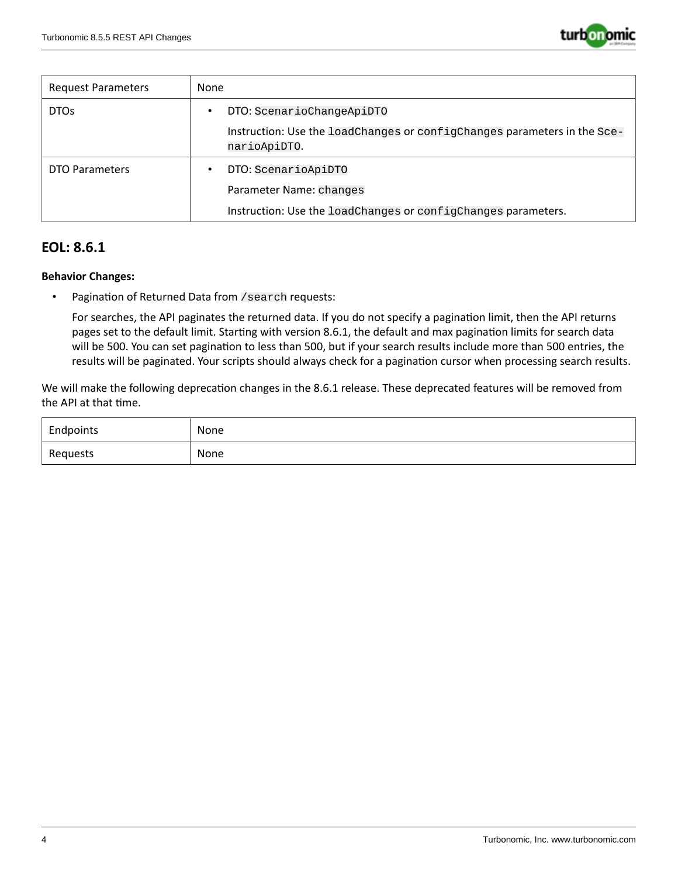

| Request Parameters | None                                                                                     |
|--------------------|------------------------------------------------------------------------------------------|
| DTO <sub>s</sub>   | DTO: ScenarioChangeApiDTO                                                                |
|                    | Instruction: Use the loadChanges or configChanges parameters in the Sce-<br>narioApiDTO. |
| DTO Parameters     | DTO: ScenarioApiDTO<br>٠                                                                 |
|                    | Parameter Name: changes                                                                  |
|                    | Instruction: Use the loadChanges or configChanges parameters.                            |

## **EOL: 8.6.1**

#### **Behavior Changes:**

• Pagination of Returned Data from /search requests:

For searches, the API paginates the returned data. If you do not specify a pagination limit, then the API returns pages set to the default limit. Starting with version 8.6.1, the default and max pagination limits for search data will be 500. You can set pagination to less than 500, but if your search results include more than 500 entries, the results will be paginated. Your scripts should always check for a pagination cursor when processing search results.

We will make the following deprecation changes in the 8.6.1 release. These deprecated features will be removed from the API at that time.

| Endpoints | None        |
|-----------|-------------|
| Requests  | None<br>___ |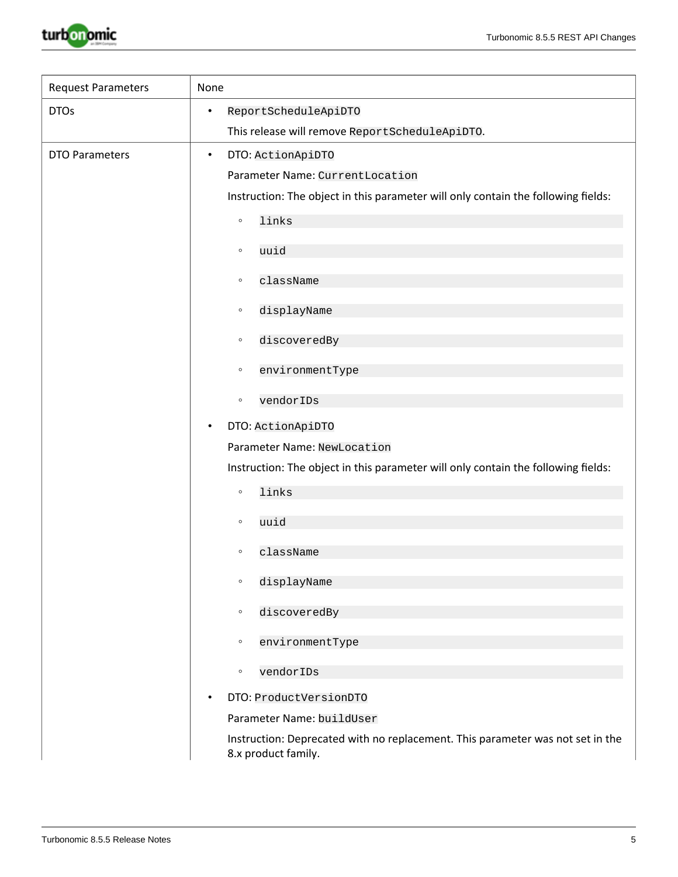

| <b>Request Parameters</b> | None                                                                                                  |
|---------------------------|-------------------------------------------------------------------------------------------------------|
| <b>DTOs</b>               | ReportScheduleApiDTO<br>$\bullet$                                                                     |
|                           | This release will remove ReportScheduleApiDTO.                                                        |
| <b>DTO Parameters</b>     | DTO: ActionApiDTO<br>$\bullet$                                                                        |
|                           | Parameter Name: CurrentLocation                                                                       |
|                           | Instruction: The object in this parameter will only contain the following fields:                     |
|                           | links<br>$\circ$                                                                                      |
|                           | uuid<br>$\circ$                                                                                       |
|                           | className<br>$\circ$                                                                                  |
|                           | displayName<br>$\circ$                                                                                |
|                           | discoveredBy<br>$\circ$                                                                               |
|                           | environmentType<br>$\circ$                                                                            |
|                           | vendorIDs<br>$\circ$                                                                                  |
|                           | DTO: ActionApiDTO<br>٠                                                                                |
|                           | Parameter Name: NewLocation                                                                           |
|                           | Instruction: The object in this parameter will only contain the following fields:                     |
|                           | links<br>$\circ$                                                                                      |
|                           | uuid<br>$\circ$                                                                                       |
|                           |                                                                                                       |
|                           | className<br>$\circ$                                                                                  |
|                           | displayName<br>$\circ$                                                                                |
|                           | discoveredBy<br>$\circ$                                                                               |
|                           | environmentType<br>$\circ$                                                                            |
|                           | vendorIDs<br>$\circ$                                                                                  |
|                           | DTO: ProductVersionDTO<br>٠                                                                           |
|                           | Parameter Name: buildUser                                                                             |
|                           | Instruction: Deprecated with no replacement. This parameter was not set in the<br>8.x product family. |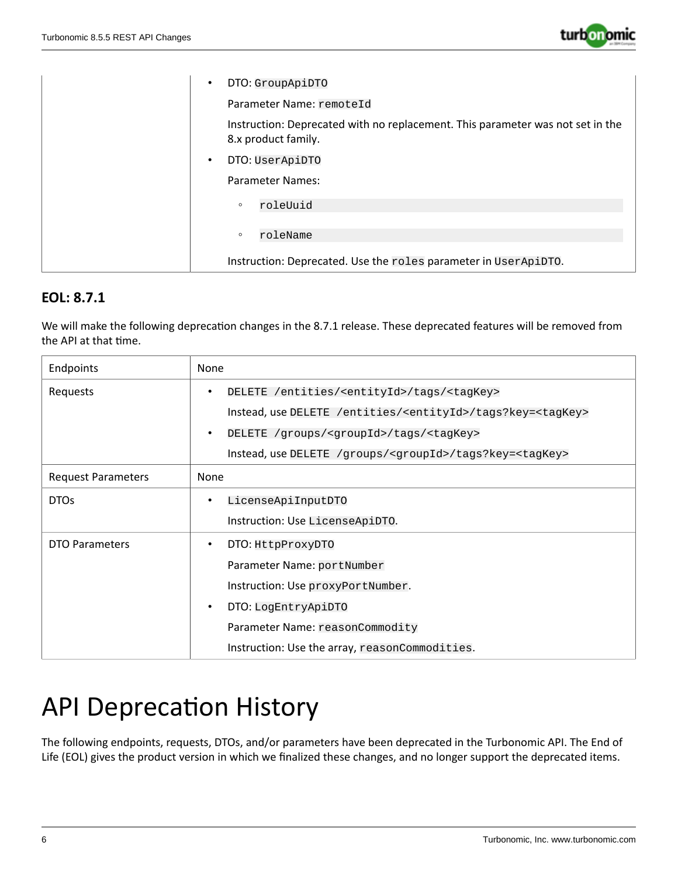

| DTO: GroupApiDTO<br>$\bullet$                                                                         |
|-------------------------------------------------------------------------------------------------------|
| Parameter Name: remoteId                                                                              |
| Instruction: Deprecated with no replacement. This parameter was not set in the<br>8.x product family. |
| DTO: UserApiDTO<br>$\bullet$                                                                          |
| Parameter Names:                                                                                      |
| roleUuid<br>$\circ$                                                                                   |
| roleName<br>$\circ$                                                                                   |
| Instruction: Deprecated. Use the roles parameter in UserApiDTO.                                       |

# **EOL: 8.7.1**

We will make the following deprecation changes in the 8.7.1 release. These deprecated features will be removed from the API at that time.

| Endpoints                 | None                                                                            |
|---------------------------|---------------------------------------------------------------------------------|
| Requests                  | DELETE /entities/ <entityid>/tags/<tagkey><br/>٠</tagkey></entityid>            |
|                           | Instead, use DELETE /entities/ <entityid>/tags?key=<tagkey></tagkey></entityid> |
|                           | DELETE /groups/ <groupid>/tags/<tagkey><br/>٠</tagkey></groupid>                |
|                           | Instead, use DELETE /groups/ <groupid>/tags?key=<tagkey></tagkey></groupid>     |
| <b>Request Parameters</b> | None                                                                            |
| <b>DTOs</b>               | LicenseApiInputDTO<br>٠                                                         |
|                           | Instruction: Use LicenseApiDTO.                                                 |
| DTO Parameters            | DTO: HttpProxyDTO<br>٠                                                          |
|                           | Parameter Name: portNumber                                                      |
|                           | Instruction: Use proxyPortNumber.                                               |
|                           | DTO: LogEntryApiDTO<br>$\bullet$                                                |
|                           | Parameter Name: reasonCommodity                                                 |
|                           | Instruction: Use the array, reasonCommodities.                                  |

# API Deprecation History

The following endpoints, requests, DTOs, and/or parameters have been deprecated in the Turbonomic API. The End of Life (EOL) gives the product version in which we finalized these changes, and no longer support the deprecated items.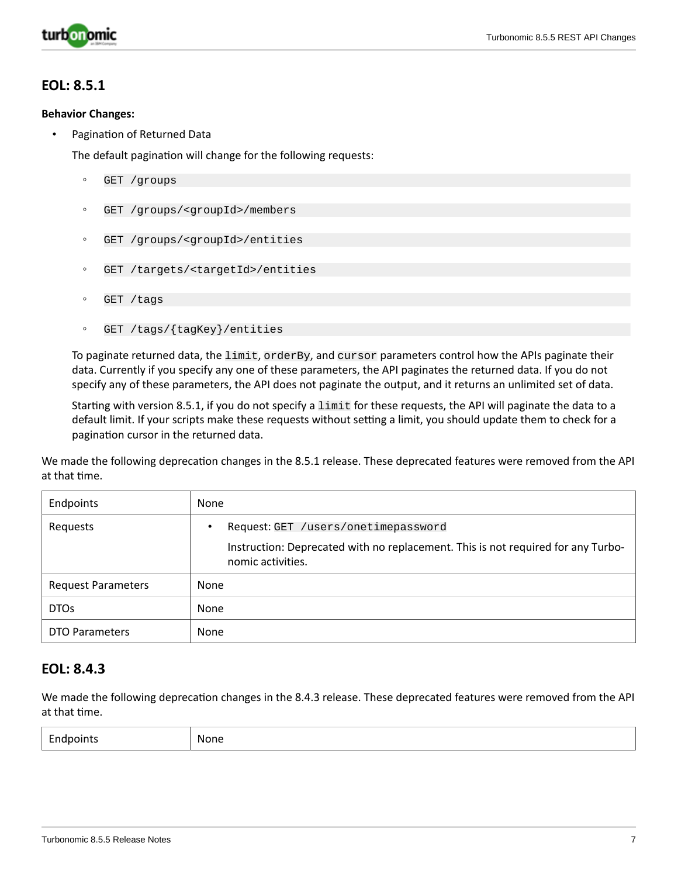

### **EOL: 8.5.1**

#### **Behavior Changes:**

• Pagination of Returned Data

The default pagination will change for the following requests:

- GET /groups
- GET /groups/<groupId>/members
- GET /groups/<groupId>/entities
- GET /targets/<targetId>/entities
- GET /tags
- GET /tags/{tagKey}/entities

To paginate returned data, the limit, orderBy, and cursor parameters control how the APIs paginate their data. Currently if you specify any one of these parameters, the API paginates the returned data. If you do not specify any of these parameters, the API does not paginate the output, and it returns an unlimited set of data.

Starting with version 8.5.1, if you do not specify a limit for these requests, the API will paginate the data to a default limit. If your scripts make these requests without setting a limit, you should update them to check for a pagination cursor in the returned data.

We made the following deprecation changes in the 8.5.1 release. These deprecated features were removed from the API at that time.

| Endpoints                 | None                                                                                                                                         |
|---------------------------|----------------------------------------------------------------------------------------------------------------------------------------------|
| Requests                  | Request: GET /users/onetimepassword<br>Instruction: Deprecated with no replacement. This is not required for any Turbo-<br>nomic activities. |
| <b>Request Parameters</b> | None                                                                                                                                         |
| DTO <sub>s</sub>          | None                                                                                                                                         |
| <b>DTO Parameters</b>     | None                                                                                                                                         |

### **EOL: 8.4.3**

We made the following deprecation changes in the 8.4.3 release. These deprecated features were removed from the API at that time.

| $\overline{\phantom{0}}$ | None |
|--------------------------|------|
| Endpoints                | ___  |